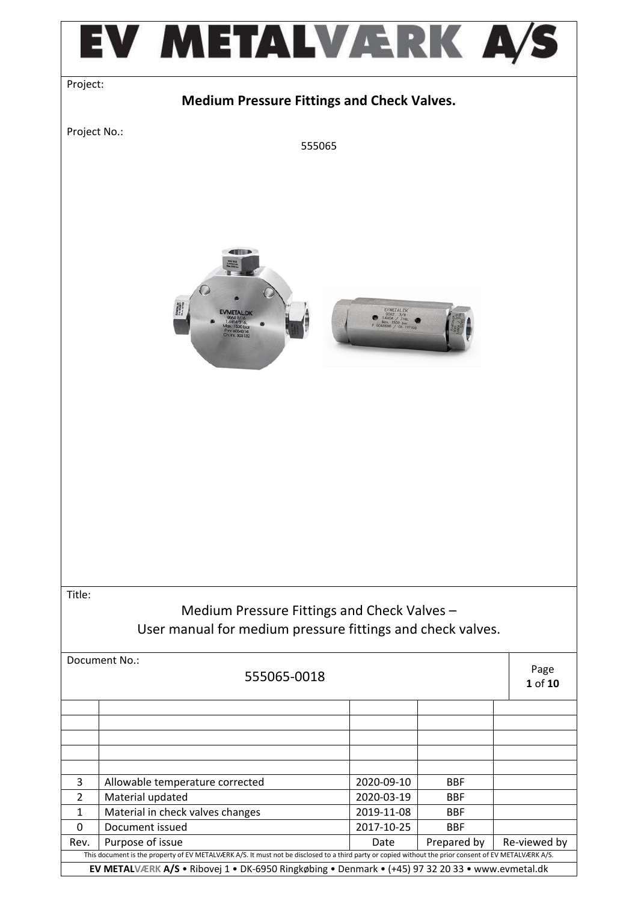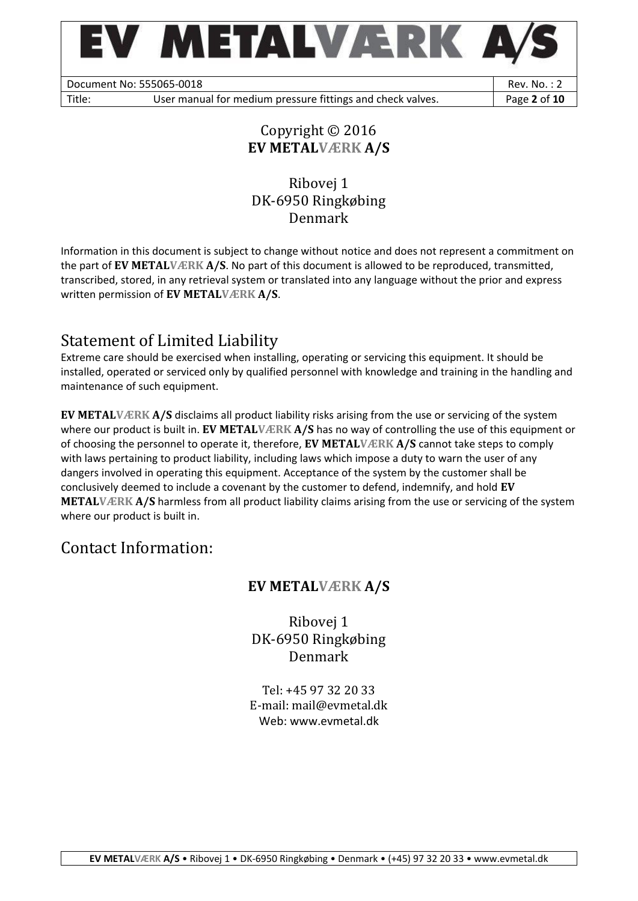

Document No: 555065-0018 Rev. No. : 2

Title: User manual for medium pressure fittings and check valves. **Page 2 of 10** 

### Copyright © 2016 **EV METALVÆRK A/S**

### Ribovej 1 DK-6950 Ringkøbing Denmark

Information in this document is subject to change without notice and does not represent a commitment on the part of **EV METALVÆRK A/S**. No part of this document is allowed to be reproduced, transmitted, transcribed, stored, in any retrieval system or translated into any language without the prior and express written permission of **EV METALVÆRK A/S**.

# Statement of Limited Liability

Extreme care should be exercised when installing, operating or servicing this equipment. It should be installed, operated or serviced only by qualified personnel with knowledge and training in the handling and maintenance of such equipment.

**EV METALVÆRK A/S** disclaims all product liability risks arising from the use or servicing of the system where our product is built in. **EV METALVÆRK A/S** has no way of controlling the use of this equipment or of choosing the personnel to operate it, therefore, **EV METALVÆRK A/S** cannot take steps to comply with laws pertaining to product liability, including laws which impose a duty to warn the user of any dangers involved in operating this equipment. Acceptance of the system by the customer shall be conclusively deemed to include a covenant by the customer to defend, indemnify, and hold **EV METALVÆRK A/S** harmless from all product liability claims arising from the use or servicing of the system where our product is built in.

## Contact Information:

## **EV METALVÆRK A/S**

Ribovej 1 DK-6950 Ringkøbing Denmark

Tel: +45 97 32 20 33 E-mail: mail@evmetal.dk Web: www.evmetal.dk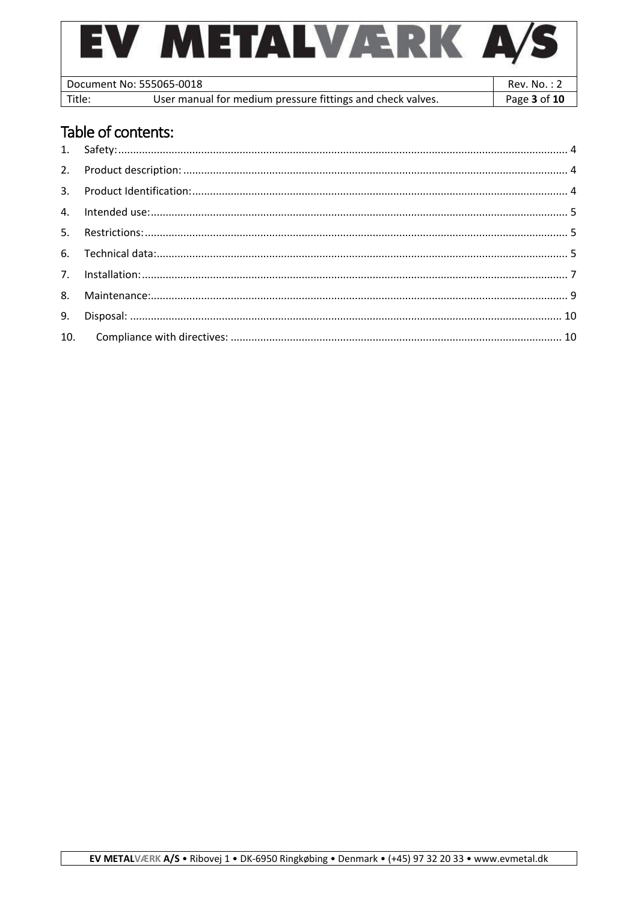| <b>ETALVÆF</b>                                                       |              |
|----------------------------------------------------------------------|--------------|
| Document No: 555065-0018                                             | Rev. No.: 2  |
| User manual for medium pressure fittings and check valves.<br>Title: | Page 3 of 10 |

# Table of contents: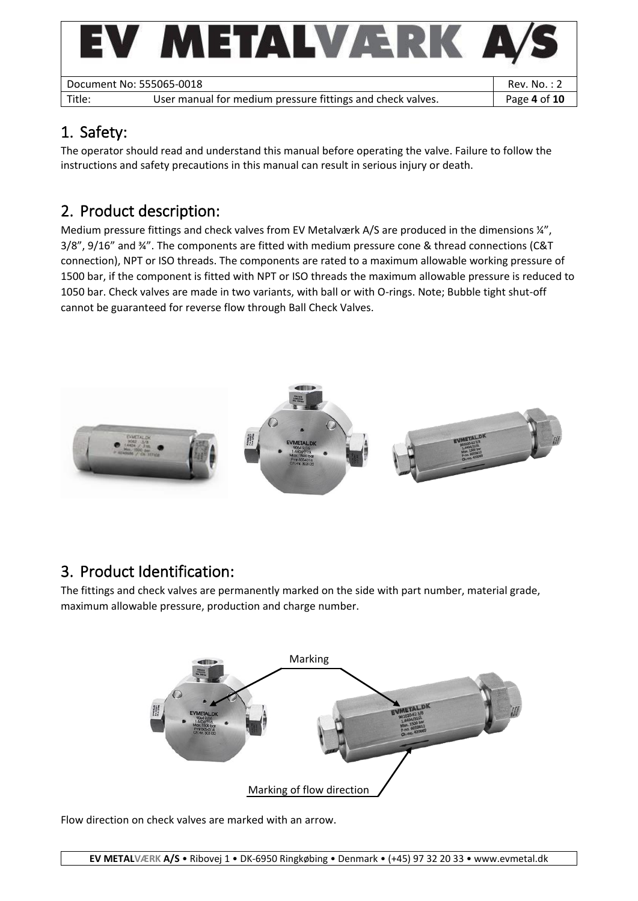| EV 1                     | METALVÆRK                                                  |              |
|--------------------------|------------------------------------------------------------|--------------|
| Document No: 555065-0018 |                                                            | Rev. No. : 2 |
| Title:                   | User manual for medium pressure fittings and check valves. | Page 4 of 10 |
|                          |                                                            |              |

# <span id="page-3-0"></span>1. Safety:

The operator should read and understand this manual before operating the valve. Failure to follow the instructions and safety precautions in this manual can result in serious injury or death.

# <span id="page-3-1"></span>2. Product description:

Medium pressure fittings and check valves from EV Metalværk A/S are produced in the dimensions ¼", 3/8", 9/16" and ¾". The components are fitted with medium pressure cone & thread connections (C&T connection), NPT or ISO threads. The components are rated to a maximum allowable working pressure of 1500 bar, if the component is fitted with NPT or ISO threads the maximum allowable pressure is reduced to 1050 bar. Check valves are made in two variants, with ball or with O-rings. Note; Bubble tight shut-off cannot be guaranteed for reverse flow through Ball Check Valves.



# <span id="page-3-2"></span>3. Product Identification:

The fittings and check valves are permanently marked on the side with part number, material grade, maximum allowable pressure, production and charge number.



Flow direction on check valves are marked with an arrow.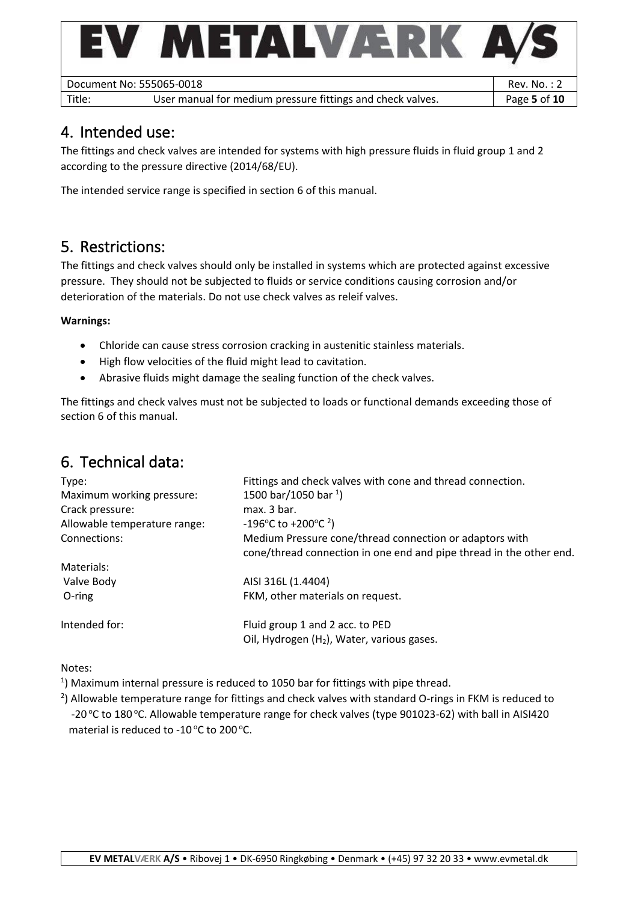

## <span id="page-4-0"></span>4. Intended use:

The fittings and check valves are intended for systems with high pressure fluids in fluid group 1 and 2 according to the pressure directive (2014/68/EU).

The intended service range is specified in section 6 of this manual.

### <span id="page-4-1"></span>5. Restrictions:

The fittings and check valves should only be installed in systems which are protected against excessive pressure. They should not be subjected to fluids or service conditions causing corrosion and/or deterioration of the materials. Do not use check valves as releif valves.

### **Warnings:**

- Chloride can cause stress corrosion cracking in austenitic stainless materials.
- High flow velocities of the fluid might lead to cavitation.
- Abrasive fluids might damage the sealing function of the check valves.

The fittings and check valves must not be subjected to loads or functional demands exceeding those of section 6 of this manual.

## <span id="page-4-2"></span>6. Technical data:

| Type:                        | Fittings and check valves with cone and thread connection.                                                                     |
|------------------------------|--------------------------------------------------------------------------------------------------------------------------------|
| Maximum working pressure:    | 1500 bar/1050 bar $^{1}$ )                                                                                                     |
| Crack pressure:              | max. 3 bar.                                                                                                                    |
| Allowable temperature range: | -196°C to +200°C <sup>2</sup> )                                                                                                |
| Connections:                 | Medium Pressure cone/thread connection or adaptors with<br>cone/thread connection in one end and pipe thread in the other end. |
| Materials:                   |                                                                                                                                |
| Valve Body                   | AISI 316L (1.4404)                                                                                                             |
| O-ring                       | FKM, other materials on request.                                                                                               |
| Intended for:                | Fluid group 1 and 2 acc. to PED                                                                                                |
|                              | Oil, Hydrogen (H <sub>2</sub> ), Water, various gases.                                                                         |

Notes:

 $^{1}$ ) Maximum internal pressure is reduced to 1050 bar for fittings with pipe thread.

 $^{2}$ ) Allowable temperature range for fittings and check valves with standard O-rings in FKM is reduced to -20 °C to 180 °C. Allowable temperature range for check valves (type 901023-62) with ball in AISI420 material is reduced to -10 $\degree$ C to 200 $\degree$ C.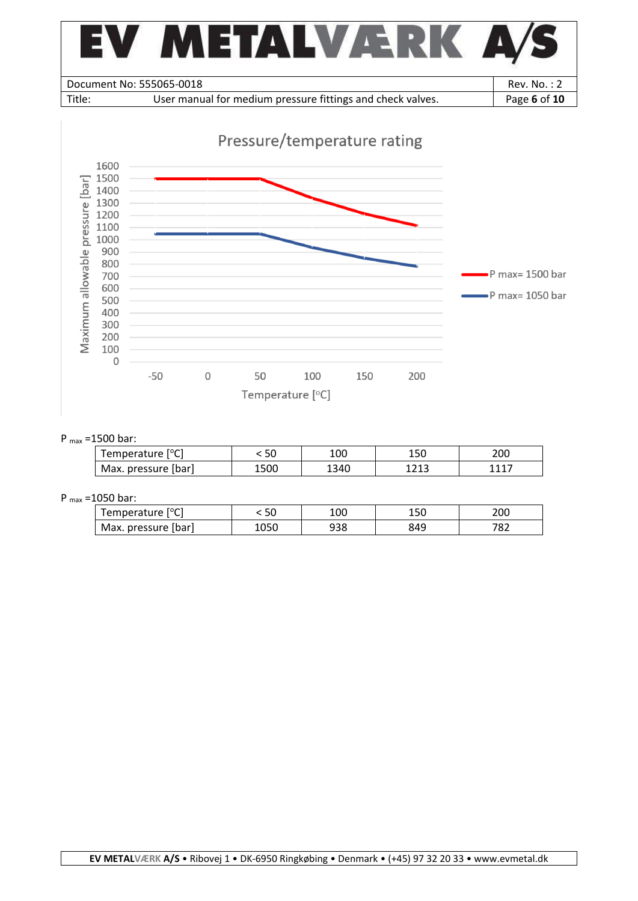



### P max =1500 bar:

| Temperature [°C]    | 50   | 100   | 15C         | 200     |
|---------------------|------|-------|-------------|---------|
| Max. pressure [bar] | 1500 | د1340 | 121<br>ᆂᄼᆂᆚ | $111 -$ |

### P max =1050 bar:

| Temperature [°C]    | υc   | 100 | 15C | 200         |
|---------------------|------|-----|-----|-------------|
| Max. pressure (bar) | 1050 | 938 | 849 | 707<br>ے ہ' |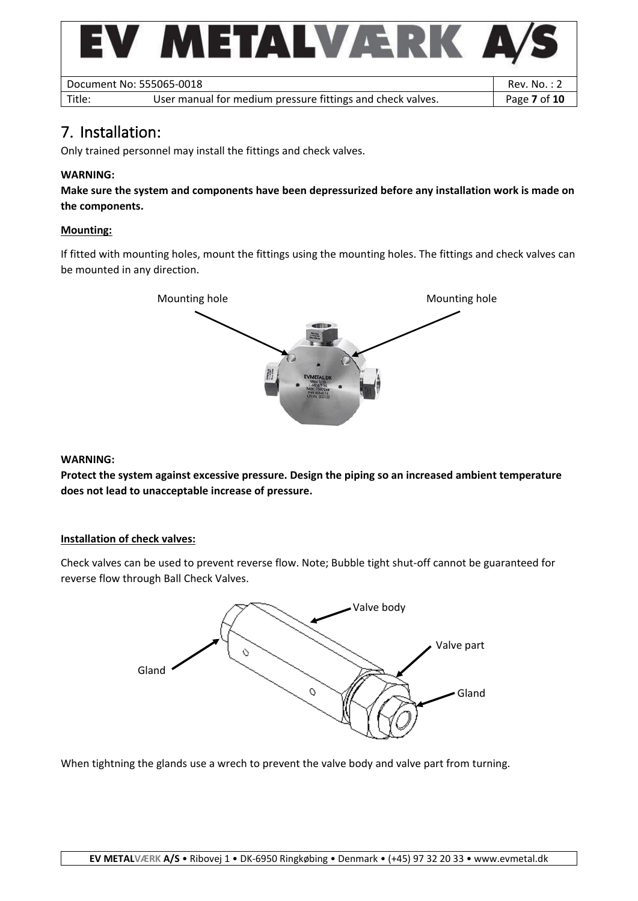

## <span id="page-6-0"></span>7. Installation:

Only trained personnel may install the fittings and check valves.

### **WARNING:**

**Make sure the system and components have been depressurized before any installation work is made on the components.**

### **Mounting:**

If fitted with mounting holes, mount the fittings using the mounting holes. The fittings and check valves can be mounted in any direction.



#### **WARNING:**

**Protect the system against excessive pressure. Design the piping so an increased ambient temperature does not lead to unacceptable increase of pressure.**

#### **Installation of check valves:**

Check valves can be used to prevent reverse flow. Note; Bubble tight shut-off cannot be guaranteed for reverse flow through Ball Check Valves.



When tightning the glands use a wrech to prevent the valve body and valve part from turning.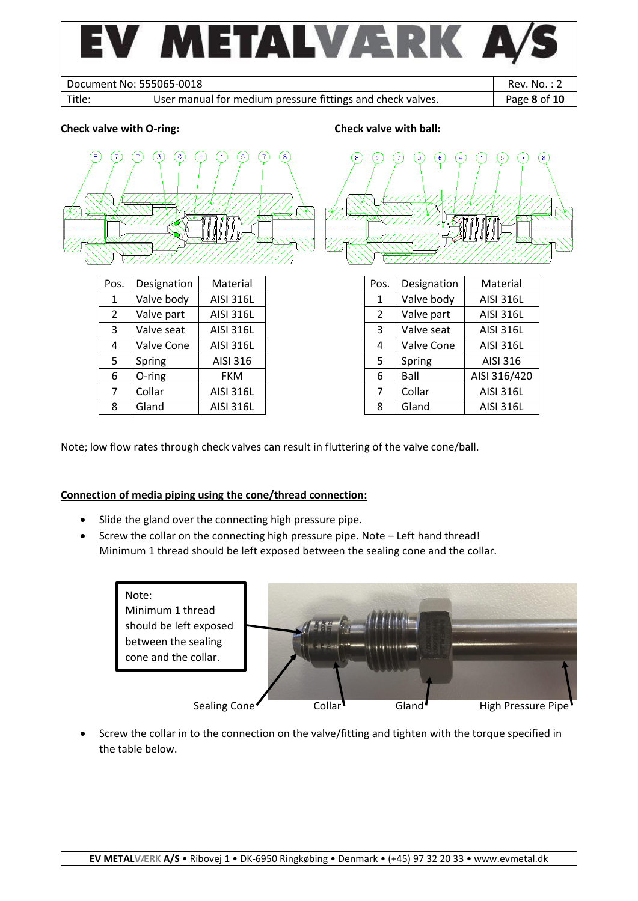

Note; low flow rates through check valves can result in fluttering of the valve cone/ball.

### **Connection of media piping using the cone/thread connection:**

- Slide the gland over the connecting high pressure pipe.
- Screw the collar on the connecting high pressure pipe. Note Left hand thread! Minimum 1 thread should be left exposed between the sealing cone and the collar.



• Screw the collar in to the connection on the valve/fitting and tighten with the torque specified in the table below.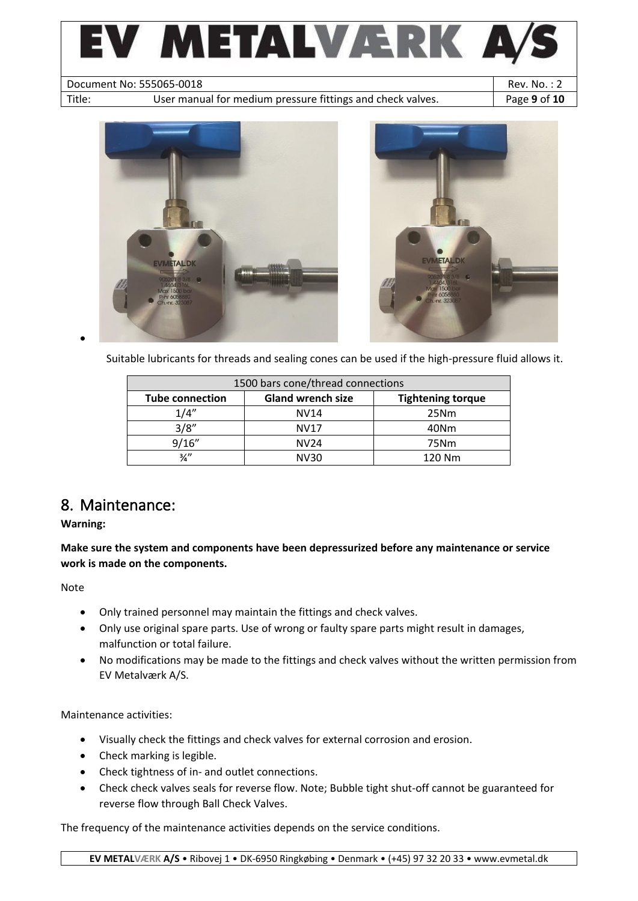



Suitable lubricants for threads and sealing cones can be used if the high-pressure fluid allows it.

| 1500 bars cone/thread connections |                          |                          |  |  |
|-----------------------------------|--------------------------|--------------------------|--|--|
| <b>Tube connection</b>            | <b>Gland wrench size</b> | <b>Tightening torque</b> |  |  |
| 1/4''                             | NV14                     | 25Nm                     |  |  |
| 3/8"                              | <b>NV17</b>              | 40Nm                     |  |  |
| 9/16''                            | NV <sub>24</sub>         | 75Nm                     |  |  |
| $\frac{3}{4}$                     | NV30                     | 120 Nm                   |  |  |

## <span id="page-8-0"></span>8. Maintenance:

### **Warning:**

**Make sure the system and components have been depressurized before any maintenance or service work is made on the components.**

Note

- Only trained personnel may maintain the fittings and check valves.
- Only use original spare parts. Use of wrong or faulty spare parts might result in damages, malfunction or total failure.
- No modifications may be made to the fittings and check valves without the written permission from EV Metalværk A/S.

Maintenance activities:

- Visually check the fittings and check valves for external corrosion and erosion.
- Check marking is legible.
- Check tightness of in- and outlet connections.
- Check check valves seals for reverse flow. Note; Bubble tight shut-off cannot be guaranteed for reverse flow through Ball Check Valves.

The frequency of the maintenance activities depends on the service conditions.